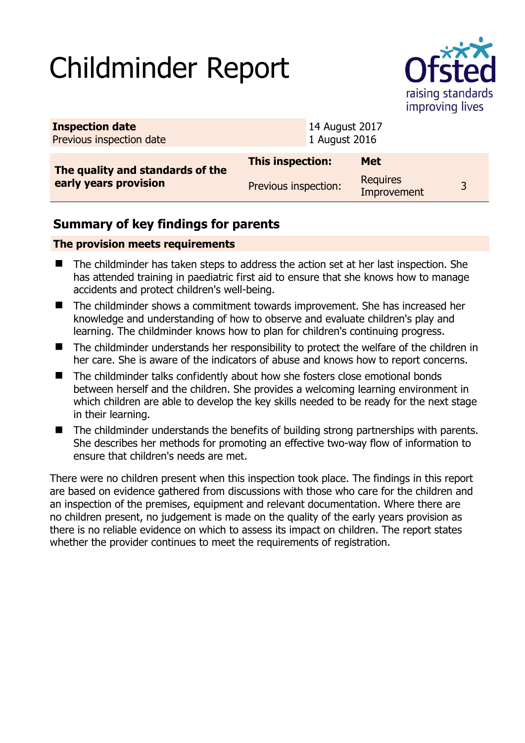# Childminder Report



| <b>Inspection date</b><br>Previous inspection date        |                         | 14 August 2017<br>1 August 2016 |                                |              |
|-----------------------------------------------------------|-------------------------|---------------------------------|--------------------------------|--------------|
| The quality and standards of the<br>early years provision | <b>This inspection:</b> |                                 | <b>Met</b>                     |              |
|                                                           | Previous inspection:    |                                 | <b>Requires</b><br>Improvement | $\mathbf{z}$ |

## **Summary of key findings for parents**

### **The provision meets requirements**

- The childminder has taken steps to address the action set at her last inspection. She has attended training in paediatric first aid to ensure that she knows how to manage accidents and protect children's well-being.
- The childminder shows a commitment towards improvement. She has increased her knowledge and understanding of how to observe and evaluate children's play and learning. The childminder knows how to plan for children's continuing progress.
- The childminder understands her responsibility to protect the welfare of the children in her care. She is aware of the indicators of abuse and knows how to report concerns.
- The childminder talks confidently about how she fosters close emotional bonds between herself and the children. She provides a welcoming learning environment in which children are able to develop the key skills needed to be ready for the next stage in their learning.
- The childminder understands the benefits of building strong partnerships with parents. She describes her methods for promoting an effective two-way flow of information to ensure that children's needs are met.

There were no children present when this inspection took place. The findings in this report are based on evidence gathered from discussions with those who care for the children and an inspection of the premises, equipment and relevant documentation. Where there are no children present, no judgement is made on the quality of the early years provision as there is no reliable evidence on which to assess its impact on children. The report states whether the provider continues to meet the requirements of registration.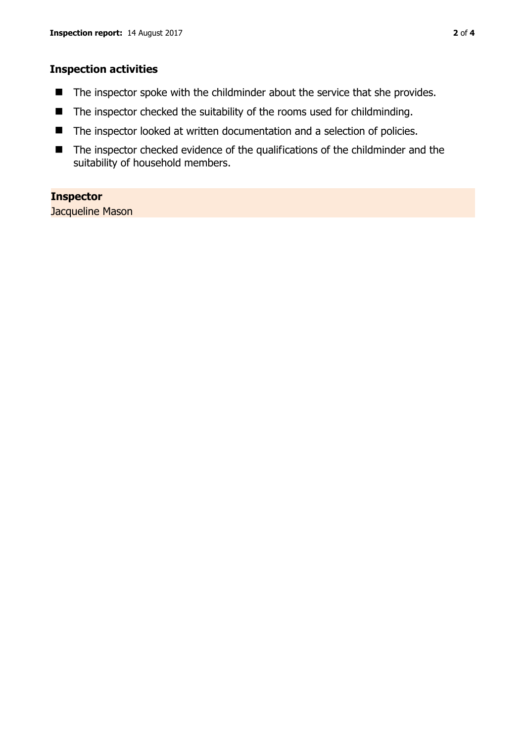#### **Inspection activities**

- The inspector spoke with the childminder about the service that she provides.
- $\blacksquare$  The inspector checked the suitability of the rooms used for childminding.
- The inspector looked at written documentation and a selection of policies.
- The inspector checked evidence of the qualifications of the childminder and the suitability of household members.

#### **Inspector**

Jacqueline Mason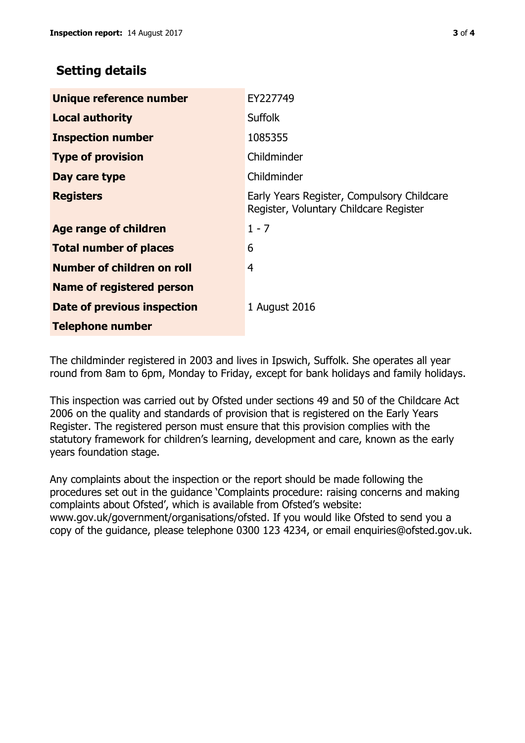## **Setting details**

| Unique reference number       | EY227749                                                                             |  |
|-------------------------------|--------------------------------------------------------------------------------------|--|
| <b>Local authority</b>        | <b>Suffolk</b>                                                                       |  |
| <b>Inspection number</b>      | 1085355                                                                              |  |
| <b>Type of provision</b>      | Childminder                                                                          |  |
| Day care type                 | Childminder                                                                          |  |
| <b>Registers</b>              | Early Years Register, Compulsory Childcare<br>Register, Voluntary Childcare Register |  |
| <b>Age range of children</b>  | $1 - 7$                                                                              |  |
| <b>Total number of places</b> | 6                                                                                    |  |
| Number of children on roll    | 4                                                                                    |  |
| Name of registered person     |                                                                                      |  |
| Date of previous inspection   | 1 August 2016                                                                        |  |
| <b>Telephone number</b>       |                                                                                      |  |

The childminder registered in 2003 and lives in Ipswich, Suffolk. She operates all year round from 8am to 6pm, Monday to Friday, except for bank holidays and family holidays.

This inspection was carried out by Ofsted under sections 49 and 50 of the Childcare Act 2006 on the quality and standards of provision that is registered on the Early Years Register. The registered person must ensure that this provision complies with the statutory framework for children's learning, development and care, known as the early years foundation stage.

Any complaints about the inspection or the report should be made following the procedures set out in the guidance 'Complaints procedure: raising concerns and making complaints about Ofsted', which is available from Ofsted's website: www.gov.uk/government/organisations/ofsted. If you would like Ofsted to send you a copy of the guidance, please telephone 0300 123 4234, or email enquiries@ofsted.gov.uk.